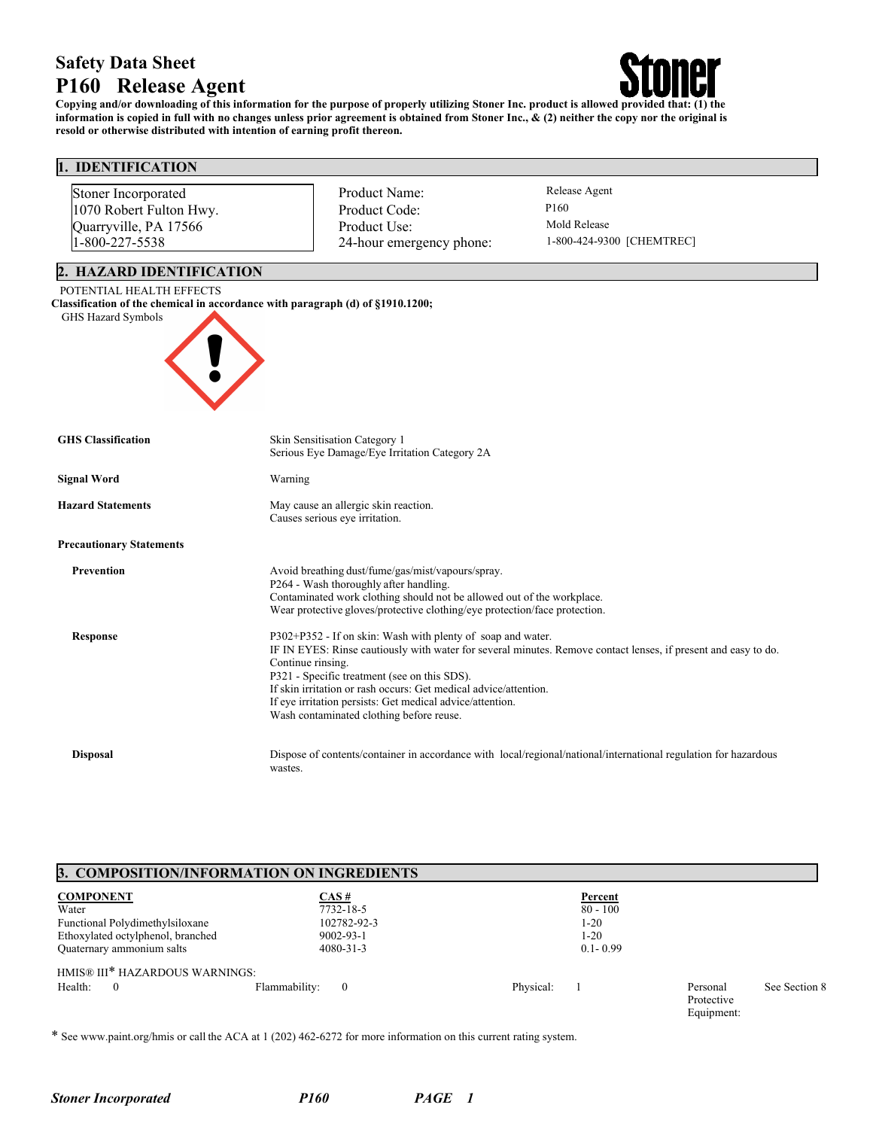# **Safety Data Sheet P160 Release Agent**



**Copying and/or downloading of this information for the purpose of properly utilizing Stoner Inc. product is allowed provided that: (1) the information is copied in full with no changes unless prior agreement is obtained from Stoner Inc., & (2) neither the copy nor the original is resold or otherwise distributed with intention of earning profit thereon.**

## **1. IDENTIFICATION**

| Stoner Incorporated             | Product Name:                                                                                                                                        | Release Agent                                                                                                   |  |  |  |
|---------------------------------|------------------------------------------------------------------------------------------------------------------------------------------------------|-----------------------------------------------------------------------------------------------------------------|--|--|--|
| 1070 Robert Fulton Hwy.         | Product Code:                                                                                                                                        | P160                                                                                                            |  |  |  |
| Quarryville, PA 17566           | Product Use:                                                                                                                                         | Mold Release                                                                                                    |  |  |  |
| 1-800-227-5538                  | 24-hour emergency phone:                                                                                                                             | 1-800-424-9300 [CHEMTREC]                                                                                       |  |  |  |
| 2. HAZARD IDENTIFICATION        |                                                                                                                                                      |                                                                                                                 |  |  |  |
| POTENTIAL HEALTH EFFECTS        |                                                                                                                                                      |                                                                                                                 |  |  |  |
| GHS Hazard Symbols              | Classification of the chemical in accordance with paragraph (d) of §1910.1200;                                                                       |                                                                                                                 |  |  |  |
|                                 |                                                                                                                                                      |                                                                                                                 |  |  |  |
|                                 |                                                                                                                                                      |                                                                                                                 |  |  |  |
|                                 |                                                                                                                                                      |                                                                                                                 |  |  |  |
|                                 |                                                                                                                                                      |                                                                                                                 |  |  |  |
|                                 |                                                                                                                                                      |                                                                                                                 |  |  |  |
| <b>GHS Classification</b>       | Skin Sensitisation Category 1                                                                                                                        |                                                                                                                 |  |  |  |
|                                 | Serious Eye Damage/Eye Irritation Category 2A                                                                                                        |                                                                                                                 |  |  |  |
| <b>Signal Word</b>              | Warning                                                                                                                                              |                                                                                                                 |  |  |  |
| <b>Hazard Statements</b>        | May cause an allergic skin reaction.                                                                                                                 |                                                                                                                 |  |  |  |
|                                 | Causes serious eye irritation.                                                                                                                       |                                                                                                                 |  |  |  |
| <b>Precautionary Statements</b> |                                                                                                                                                      |                                                                                                                 |  |  |  |
| Prevention                      | Avoid breathing dust/fume/gas/mist/vapours/spray.                                                                                                    |                                                                                                                 |  |  |  |
|                                 | P264 - Wash thoroughly after handling.                                                                                                               |                                                                                                                 |  |  |  |
|                                 | Contaminated work clothing should not be allowed out of the workplace.<br>Wear protective gloves/protective clothing/eye protection/face protection. |                                                                                                                 |  |  |  |
|                                 |                                                                                                                                                      |                                                                                                                 |  |  |  |
| <b>Response</b>                 | P302+P352 - If on skin: Wash with plenty of soap and water.                                                                                          |                                                                                                                 |  |  |  |
|                                 | IF IN EYES: Rinse cautiously with water for several minutes. Remove contact lenses, if present and easy to do.<br>Continue rinsing.                  |                                                                                                                 |  |  |  |
|                                 | P321 - Specific treatment (see on this SDS).                                                                                                         |                                                                                                                 |  |  |  |
|                                 | If skin irritation or rash occurs: Get medical advice/attention.                                                                                     |                                                                                                                 |  |  |  |
|                                 | If eye irritation persists: Get medical advice/attention.                                                                                            |                                                                                                                 |  |  |  |
|                                 | Wash contaminated clothing before reuse.                                                                                                             |                                                                                                                 |  |  |  |
| <b>Disposal</b>                 |                                                                                                                                                      | Dispose of contents/container in accordance with local/regional/national/international regulation for hazardous |  |  |  |
|                                 | wastes.                                                                                                                                              |                                                                                                                 |  |  |  |

## **3. COMPOSITION/INFORMATION ON INGREDIENTS**

| <b>COMPONENT</b>                  | CAS#                      | Percent      |                                      |               |
|-----------------------------------|---------------------------|--------------|--------------------------------------|---------------|
| Water                             | 7732-18-5                 | $80 - 100$   |                                      |               |
| Functional Polydimethylsiloxane   | 102782-92-3               | 1-20         |                                      |               |
| Ethoxylated octylphenol, branched | $9002 - 93 - 1$           | 1-20         |                                      |               |
| Quaternary ammonium salts         | $4080 - 31 - 3$           | $0.1 - 0.99$ |                                      |               |
| HMIS® III* HAZARDOUS WARNINGS:    |                           |              |                                      |               |
| Health:<br>$\left($               | Flammability:<br>$\sim 0$ | Physical:    | Personal<br>Protective<br>Equipment: | See Section 8 |

\* See www.paint.org/hmis or call the ACA at 1 (202) 462-6272 for more information on this current rating system.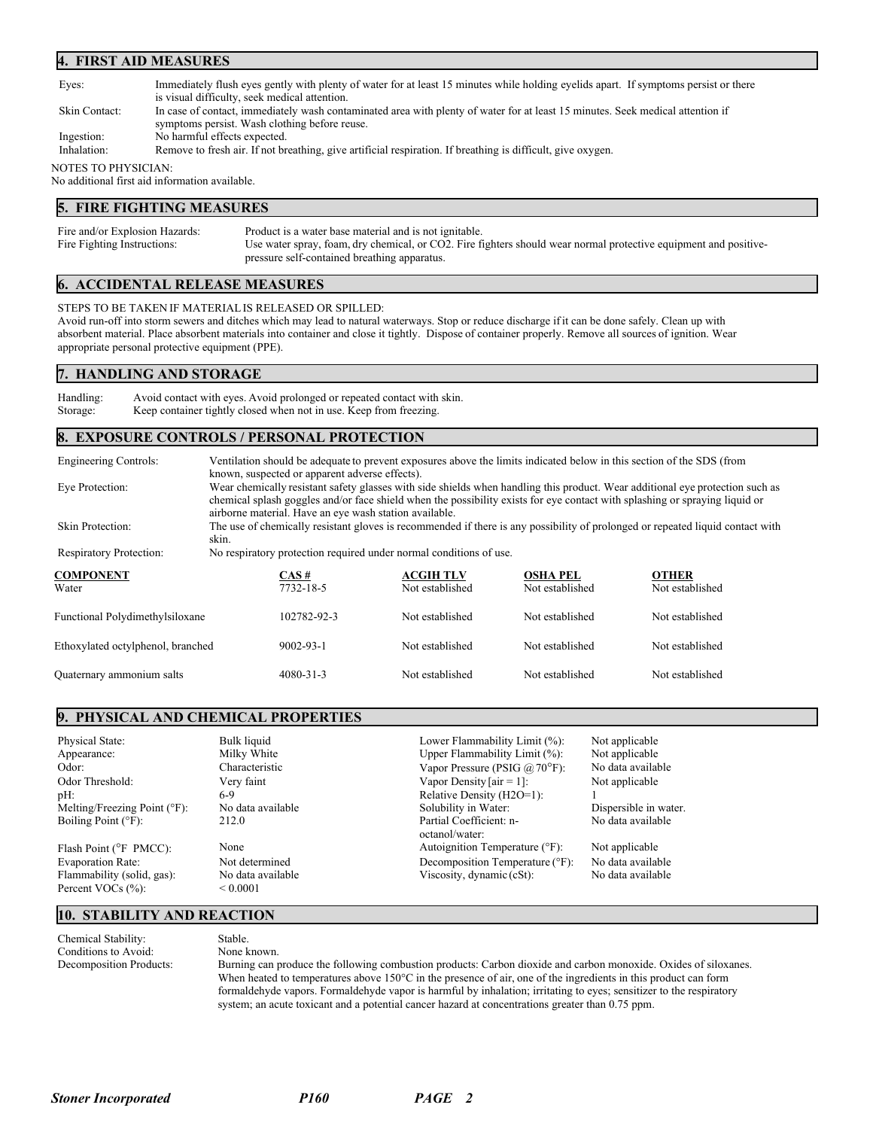#### **4. FIRST AID MEASURES**

| Eyes:               | Immediately flush eyes gently with plenty of water for at least 15 minutes while holding eyelids apart. If symptoms persist or there |
|---------------------|--------------------------------------------------------------------------------------------------------------------------------------|
|                     | is visual difficulty, seek medical attention.                                                                                        |
| Skin Contact:       | In case of contact, immediately wash contaminated area with plenty of water for at least 15 minutes. Seek medical attention if       |
|                     | symptoms persist. Wash clothing before reuse.                                                                                        |
| Ingestion:          | No harmful effects expected.                                                                                                         |
| Inhalation:         | Remove to fresh air. If not breathing, give artificial respiration. If breathing is difficult, give oxygen.                          |
| NOTES TO PHYSICIAN: |                                                                                                                                      |
|                     | No additional first aid information available.                                                                                       |

## **5. FIRE FIGHTING MEASURES**

| Fire and/or Explosion Hazards: | Product is a water base material and is not ignitable.                                                                                                           |
|--------------------------------|------------------------------------------------------------------------------------------------------------------------------------------------------------------|
| Fire Fighting Instructions:    | Use water spray, foam, dry chemical, or CO2. Fire fighters should wear normal protective equipment and positive-<br>pressure self-contained breathing apparatus. |

## **6. ACCIDENTAL RELEASE MEASURES**

STEPS TO BE TAKEN IF MATERIALIS RELEASED OR SPILLED: Avoid run-off into storm sewers and ditches which may lead to natural waterways. Stop or reduce discharge if it can be done safely. Clean up with absorbent material. Place absorbent materials into container and close it tightly. Dispose of container properly. Remove all sources of ignition. Wear appropriate personal protective equipment (PPE).

#### **7. HANDLING AND STORAGE**

Handling: Avoid contact with eyes. Avoid prolonged or repeated contact with skin. Storage: Keep container tightly closed when not in use. Keep from freezing.

#### **8. EXPOSURE CONTROLS / PERSONAL PROTECTION**

Engineering Controls: Ventilation should be adequate to prevent exposures above the limits indicated below in this section of the SDS (from known, suspected or apparent adverse effects). Eye Protection: Wear chemically resistant safety glasses with side shields when handling this product. Wear additional eye protection such as chemical splash goggles and/or face shield when the possibility exists for eye contact with splashing or spraying liquid or airborne material. Have an eye wash station available. Skin Protection: The use of chemically resistant gloves is recommended if there is any possibility of prolonged or repeated liquid contact with skin. Respiratory Protection: No respiratory protection required under normal conditions of use. **COMPONENT CAS # ACGIH TLV OSHA PEL OTHER** Water 1982-18-5 Notestablished Not established Not established Not established Not established Functional Polydimethylsiloxane 102782-92-3 Not established Not established Not established Ethoxylated octylphenol, branched 9002-93-1 Not established Not established Not established Quaternary ammonium salts 4080-31-3 Not established Not established Not established

## **9. PHYSICAL AND CHEMICAL PROPERTIES**

| Physical State:                        | Bulk liquid       | Lower Flammability Limit (%):             | Not applicable        |
|----------------------------------------|-------------------|-------------------------------------------|-----------------------|
| Appearance:                            | Milky White       | Upper Flammability Limit (%):             | Not applicable        |
| Odor:                                  | Characteristic    | Vapor Pressure (PSIG $\omega$ 70°F):      | No data available     |
| Odor Threshold:                        | Very faint        | Vapor Density [ $air = 1$ ]:              | Not applicable        |
| pH:                                    | 6-9               | Relative Density (H2O=1):                 |                       |
| Melting/Freezing Point $(^{\circ}F)$ : | No data available | Solubility in Water:                      | Dispersible in water. |
| Boiling Point $(^{\circ}F)$ :          | 212.0             | Partial Coefficient: n-<br>octanol/water: | No data available     |
| Flash Point ( $\degree$ F PMCC):       | None              | Autoignition Temperature (°F):            | Not applicable        |
| Evaporation Rate:                      | Not determined    | Decomposition Temperature (°F):           | No data available     |
| Flammability (solid, gas):             | No data available | Viscosity, dynamic $(cSt)$ :              | No data available     |
| Percent VOCs (%):                      | ${}_{0.0001}$     |                                           |                       |

## **10. STABILITY AND REACTION**

Chemical Stability: Stable. Conditions to Avoid: None known.

Decomposition Products: Burning can produce the following combustion products: Carbon dioxide and carbon monoxide. Oxides of siloxanes. When heated to temperatures above 150°C in the presence of air, one of the ingredients in this product can form formaldehyde vapors. Formaldehyde vapor is harmful by inhalation; irritating to eyes; sensitizer to the respiratory system; an acute toxicant and a potential cancer hazard at concentrations greater than 0.75 ppm.